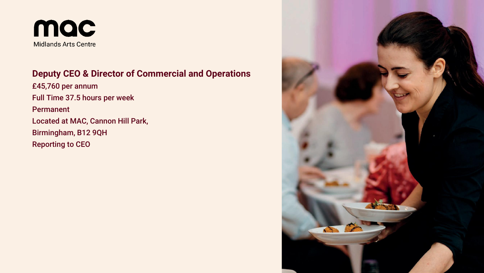

## **Deputy CEO & Director of Commercial and Operations**

£45,760 per annum Full Time 37.5 hours per week Permanent Located at MAC, Cannon Hill Park, Birmingham, B12 9QH Reporting to CEO

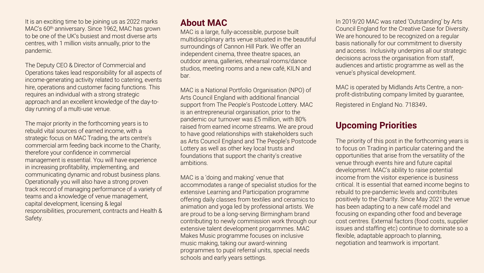It is an exciting time to be joining us as 2022 marks MAC's 60<sup>th</sup> anniversary. Since 1962, MAC has grown to be one of the UK's busiest and most diverse arts centres, with 1 million visits annually, prior to the pandemic.

The Deputy CEO & Director of Commercial and Operations takes lead responsibility for all aspects of income-generating activity related to catering, events hire, operations and customer facing functions. This requires an individual with a strong strategic approach and an excellent knowledge of the day-today running of a multi-use venue.

The major priority in the forthcoming years is to rebuild vital sources of earned income, with a strategic focus on MAC Trading, the arts centre's commercial arm feeding back income to the Charity, therefore your confidence in commercial management is essential. You will have experience in increasing profitability, implementing, and communicating dynamic and robust business plans. Operationally you will also have a strong proven track record of managing performance of a variety of teams and a knowledge of venue management, capital development, licensing & legal responsibilities, procurement, contracts and Health & Safety.

## **About MAC**

MAC is a large, fully-accessible, purpose built multidisciplinary arts venue situated in the beautiful surroundings of Cannon Hill Park. We offer an independent cinema, three theatre spaces, an outdoor arena, galleries, rehearsal rooms/dance studios, meeting rooms and a new café, KILN and bar.

MAC is a National Portfolio Organisation (NPO) of Arts Council England with additional financial support from The People's Postcode Lottery. MAC is an entrepreneurial organisation, prior to the pandemic our turnover was £5 million, with 80% raised from earned income streams. We are proud to have good relationships with stakeholders such as Arts Council England and The People's Postcode Lottery as well as other key local trusts and foundations that support the charity's creative ambitions.

MAC is a 'doing and making' venue that accommodates a range of specialist studios for the extensive Learning and Participation programme offering daily classes from textiles and ceramics to animation and yoga led by professional artists. We are proud to be a long-serving Birmingham brand contributing to newly commission work through our extensive talent development progarmmes. MAC Makes Music programme focuses on inclusive music making, taking our award-winning programmes to pupil referral units, special needs schools and early years settings.

In 2019/20 MAC was rated 'Outstanding' by Arts Council England for the Creative Case for Diversity. We are honoured to be recognized on a regular basis nationally for our commitment to diversity and access. Inclusivity underpins all our strategic decisions across the organisation from staff, audiences and artistic programme as well as the venue's physical development.

MAC is operated by Midlands Arts Centre, a nonprofit-distributing company limited by guarantee, Registered in England No. 718349.

### **Upcoming Priorities**

The priority of this post in the forthcoming years is to focus on Trading in particular catering and the opportunities that arise from the versatility of the venue through events hire and future capital development. MAC's ability to raise potential income from the visitor experience is business critical. It is essential that earned income begins to rebuild to pre-pandemic levels and contributes positively to the Charity. Since May 2021 the venue has been adapting to a new café model and focusing on expanding other food and beverage cost centres. External factors (food costs, supplier issues and staffing etc) continue to dominate so a flexible, adaptable approach to planning, negotiation and teamwork is important.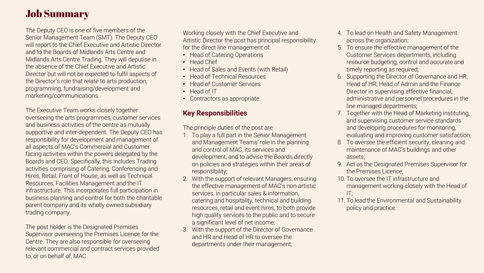# Job Summary

The Deputy CEO is one of five members of the Senior Management Team (SMT). The Deputy CEO will report to the Chief Executive and Artistic Director and to the Boards of Midlands Arts Centre and Midlands Arts Centre Trading. They will deputise in the absence of the Chief Executive and Artistic Director but will not be expected to fulfil aspects of the Director's role that relate to arts production, programming, fundraising/development and marketing/communications.

The Executive Team works closely together overseeing the arts programmes, customer services and business activities of the centre as mutually supportive and inter-dependent. The Deputy CEO has responsibility for development and management of all aspects of MAC's Commercial and Customer facing activities within the powers delegated by the Boards and CEO. Specifically, this includes Trading activities comprising of Catering, Conferencing and Hires, Retail, Front of House, as well as Technical Resources, Facilities Management and the IT infrastructure. This incorporates full participation in business planning and control for both the charitable parent company and its wholly owned subsidiary trading company.

The post holder is the Designated Premises Supervisor overseeing the Premises Licence for the Centre. They are also responsible for overseeing relevant commercial and contract services provided to, or on behalf of, MAC.

Working closely with the Chief Executive and Artistic Director the post has principal responsibility for the direct line management of:

- Head of Catering Operations
- Head Chef
- Head of Sales and Events (with Retail)
- Head of Technical Resources
- Head of Customer Services
- Head of IT
- Contractors as appropriate.

### **Key Responsibilities**

The principle duties of the post are:

- 1. To play a full part in the Senior Management and Management Teams' role in the planning and control of MAC, its services and development, and to advise the Boards directly on policies and strategies within their areas of responsibility;
- 2. With the support of relevant Managers, ensuring the effective management of MAC's non-artistic services, in particular sales & information, catering and hospitality, technical and building resources, retail and event hires, to both provide high quality services to the public and to secure a significant level of net income;
- 3. With the support of the Director of Governance and HR and Head of HR to oversee the departments under their management;
- 4. To lead on Health and Safety Management across the organization;
- 5. To ensure the effective management of the Customer Services departments, including resource budgeting, control and accurate and timely reporting as required;
- 6. Supporting the Director of Governance and HR, Head of HR, Head of Admin and the Finance Director in supervising effective financial, administrative and personnel procedures in the line managed departments;
- 7. Together with the Head of Marketing instituting, and supervising customer service standards and developing procedures for monitoring, evaluating and improving customer satisfaction;
- 8. To oversee the efficient security, cleaning and maintenance of MAC's buildings and other assets;
- 9. Act as the Designated Premises Supervisor for the Premises Licence;
- 10. To oversee the IT infrastructure and management working closely with the Head of  $IT:$
- 11. To lead the Environmental and Sustainability policy and practice.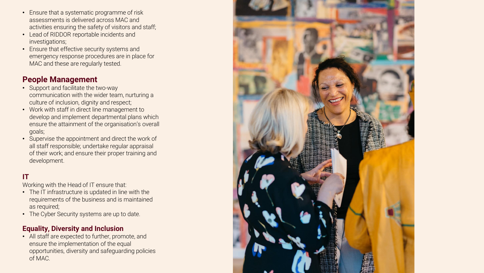- Ensure that a systematic programme of risk assessments is delivered across MAC and activities ensuring the safety of visitors and staff;
- Lead of RIDDOR reportable incidents and investigations;
- Ensure that effective security systems and emergency response procedures are in place for MAC and these are regularly tested.

### **People Management**

- Support and facilitate the two-way communication with the wider team, nurturing a culture of inclusion, dignity and respect;
- Work with staff in direct line management to develop and implement departmental plans which ensure the attainment of the organisation's overall goals;
- Supervise the appointment and direct the work of all staff responsible; undertake regular appraisal of their work; and ensure their proper training and development.

### **IT**

Working with the Head of IT ensure that:

- The IT infrastructure is updated in line with the requirements of the business and is maintained as required;
- The Cyber Security systems are up to date.

### **Equality, Diversity and Inclusion**

• All staff are expected to further, promote, and ensure the implementation of the equal opportunities, diversity and safeguarding policies of MAC.

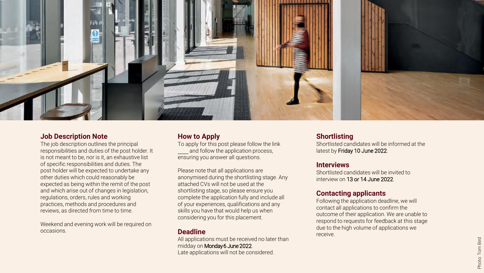

#### **Job Description Note**

The job description outlines the principal responsibilities and duties of the post holder. It is not meant to be, nor is it, an exhaustive list of specific responsibilities and duties. The post holder will be expected to undertake any other duties which could reasonably be expected as being within the remit of the post and which arise out of changes in legislation, regulations, orders, rules and working practices, methods and procedures and reviews, as directed from time to time.

Weekend and evening work will be required on occasions.

#### **How to Apply**

To apply for this post please follow the link here and follow the application process, ensuring you answer all questions.

Please note that all applications are anonymised during the shortlisting stage. Any attached CVs will not be used at the shortlisting stage, so please ensure you complete the application fully and include all of your experiences, qualifications and any skills you have that would help us when considering you for this placement.

#### **Deadline**

All applications must be received no later than midday on Monday 6 June 2022. Late applications will not be considered.

#### **Shortlisting**

Shortlisted candidates will be informed at the latest by Friday 10 June 2022.

#### **Interviews**

Shortlisted candidates will be invited to interview on 13 or 14 June 2022.

#### **Contacting applicants**

Following the application deadline, we will contact all applications to confirm the outcome of their application. We are unable to respond to requests for feedback at this stage due to the high volume of applications we receive.